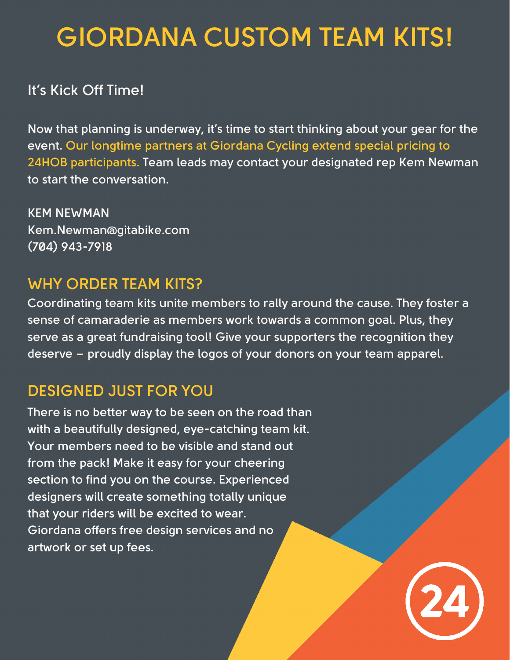# **GIORDANA CUSTOM TEAM KITS!**

#### **It's Kick Off Time!**

**Now that planning is underway, it's time to start thinking about your gear for the event. Our longtime partners at Giordana Cycling extend special pricing to 24HOB participants. Team leads may contact your designated rep Kem Newman to start the conversation.**

**KEM NEWMAN [Kem.Newman@gitabike.com](mailto:Kem.Newman@gitabike.com) (704) 943-7918**

# **WHY ORDER TEAM KITS?**

**Coordinating team kits unite members to rally around the cause. They foster a sense of camaraderie as members work towards a common goal. Plus, they serve as a great fundraising tool! Give your supporters the recognition they deserve – proudly display the logos of your donors on your team apparel.**

# **DESIGNED JUST FOR YOU**

**There is no better way to be seen on the road than with a beautifully designed, eye-catching team kit. Your members need to be visible and stand out from the pack! Make it easy for your cheering section to find you on the course. Experienced designers will create something totally unique that your riders will be excited to wear. Giordana offers free design services and no artwork or set up fees.**